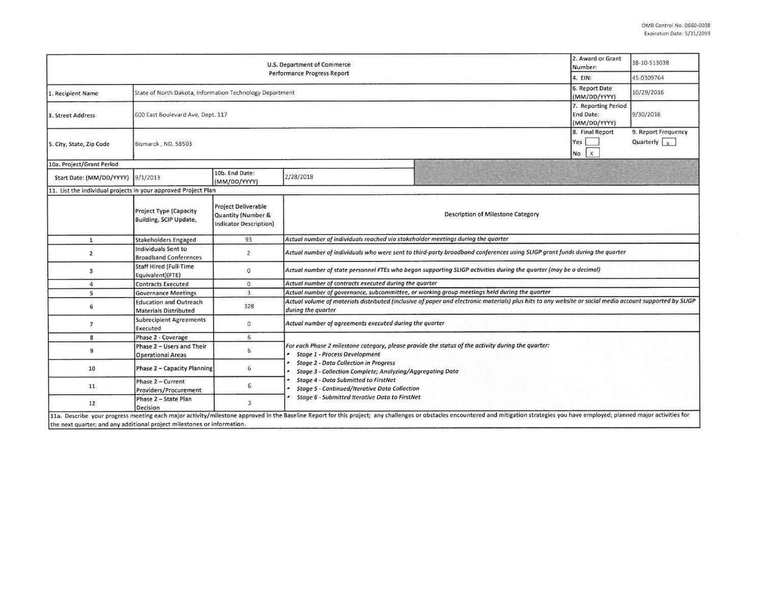| U.S. Department of Commerce<br><b>Performance Progress Report</b>       |                                                               |                                                                                   |                                                                                                                                                                                                                                                         |                                                                                                                                                                                                                                | 2. Award or Grant<br>Number:       | 38-10-S13038                                |  |  |  |
|-------------------------------------------------------------------------|---------------------------------------------------------------|-----------------------------------------------------------------------------------|---------------------------------------------------------------------------------------------------------------------------------------------------------------------------------------------------------------------------------------------------------|--------------------------------------------------------------------------------------------------------------------------------------------------------------------------------------------------------------------------------|------------------------------------|---------------------------------------------|--|--|--|
|                                                                         |                                                               |                                                                                   |                                                                                                                                                                                                                                                         |                                                                                                                                                                                                                                | 4. EIN:                            | 45-0309764                                  |  |  |  |
| 1. Recipient Name                                                       | State of North Dakota, Information Technology Department      |                                                                                   |                                                                                                                                                                                                                                                         |                                                                                                                                                                                                                                | 6. Report Date<br>(MM/DD/YYYY)     | 10/29/2016                                  |  |  |  |
| 3. Street Address                                                       | 600 East Boulevard Ave, Dept. 117                             |                                                                                   |                                                                                                                                                                                                                                                         |                                                                                                                                                                                                                                |                                    | 9/30/2016                                   |  |  |  |
| 5. City, State, Zip Code                                                | Bismarck, ND, 58503                                           |                                                                                   |                                                                                                                                                                                                                                                         |                                                                                                                                                                                                                                | 8. Final Report<br>Yes<br>$No$ $x$ | 9. Report Frequency<br>Quarterly $\sqrt{x}$ |  |  |  |
| 10a. Project/Grant Period                                               |                                                               |                                                                                   |                                                                                                                                                                                                                                                         |                                                                                                                                                                                                                                |                                    |                                             |  |  |  |
| Start Date: (MM/DD/YYYY) 9/1/2013                                       |                                                               | 10b. End Date:<br>(MM/DD/YYYY)                                                    | 2/28/2018                                                                                                                                                                                                                                               |                                                                                                                                                                                                                                |                                    |                                             |  |  |  |
| 11. List the individual projects in your approved Project Plan          |                                                               |                                                                                   |                                                                                                                                                                                                                                                         |                                                                                                                                                                                                                                |                                    |                                             |  |  |  |
|                                                                         | <b>Project Type (Capacity</b><br>Building, SCIP Update,       | <b>Project Deliverable</b><br>Quantity (Number &<br><b>Indicator Description)</b> | Description of Milestone Category                                                                                                                                                                                                                       |                                                                                                                                                                                                                                |                                    |                                             |  |  |  |
| $\mathbf{1}$                                                            | <b>Stakeholders Engaged</b>                                   | 93                                                                                | Actual number of individuals reached via stakeholder meetings during the quarter                                                                                                                                                                        |                                                                                                                                                                                                                                |                                    |                                             |  |  |  |
| $\overline{2}$                                                          | <b>Individuals Sent to</b><br><b>Broadband Conferences</b>    | $\overline{2}$                                                                    | Actual number of individuals who were sent to third-party broadband conferences using SLIGP grant funds during the quarter                                                                                                                              |                                                                                                                                                                                                                                |                                    |                                             |  |  |  |
| 3                                                                       | <b>Staff Hired (Full-Time</b><br>Equivalent)(FTE)             | $\mathbf 0$                                                                       | Actual number of state personnel FTEs who began supporting SLIGP activities during the quarter (may be a decimal)                                                                                                                                       |                                                                                                                                                                                                                                |                                    |                                             |  |  |  |
| $\overline{a}$                                                          | <b>Contracts Executed</b>                                     | $\circ$                                                                           | Actual number of contracts executed during the quarter                                                                                                                                                                                                  |                                                                                                                                                                                                                                |                                    |                                             |  |  |  |
| 5                                                                       | <b>Governance Meetings</b>                                    | $\overline{3}$                                                                    | Actual number of governance, subcommittee, or working group meetings held during the quarter                                                                                                                                                            |                                                                                                                                                                                                                                |                                    |                                             |  |  |  |
| 6                                                                       | <b>Education and Outreach</b><br><b>Materials Distributed</b> | 328                                                                               | Actual volume of materials distributed (inclusive of paper and electronic materials) plus hits to any website or social media account supported by SLIGP<br>during the quarter                                                                          |                                                                                                                                                                                                                                |                                    |                                             |  |  |  |
| $\overline{7}$                                                          | <b>Subrecipient Agreements</b><br>Executed                    | $\mathbf{0}$                                                                      | Actual number of agreements executed during the quarter                                                                                                                                                                                                 |                                                                                                                                                                                                                                |                                    |                                             |  |  |  |
| $\boldsymbol{8}$                                                        | Phase 2 - Coverage                                            | 6                                                                                 |                                                                                                                                                                                                                                                         |                                                                                                                                                                                                                                |                                    |                                             |  |  |  |
| 9                                                                       | Phase 2 - Users and Their<br><b>Operational Areas</b>         | 6                                                                                 | For each Phase 2 milestone category, please provide the status of the activity during the quarter:<br><b>Stage 1 - Process Development</b><br><b>Stage 2 - Data Collection in Progress</b><br>Stage 3 - Collection Complete; Analyzing/Aggregating Data |                                                                                                                                                                                                                                |                                    |                                             |  |  |  |
| 10                                                                      | Phase 2 - Capacity Planning                                   | 6                                                                                 |                                                                                                                                                                                                                                                         |                                                                                                                                                                                                                                |                                    |                                             |  |  |  |
| 11                                                                      | Phase 2 - Current<br>Providers/Procurement                    | 6                                                                                 | <b>Stage 4 - Data Submitted to FirstNet</b><br>Stage 5 - Continued/Iterative Data Collection                                                                                                                                                            |                                                                                                                                                                                                                                |                                    |                                             |  |  |  |
| 12                                                                      | Phase 2 - State Plan<br>Decision                              | $\overline{3}$                                                                    | • Stage 6 - Submitted Iterative Data to FirstNet                                                                                                                                                                                                        |                                                                                                                                                                                                                                |                                    |                                             |  |  |  |
| the next quarter; and any additional project milestones or information. |                                                               |                                                                                   |                                                                                                                                                                                                                                                         | 11a. Describe your progress meeting each major activity/milestone approved in the Baseline Report for this project; any challenges or obstacles encountered and mitigation strategies you have employed; planned major activit |                                    |                                             |  |  |  |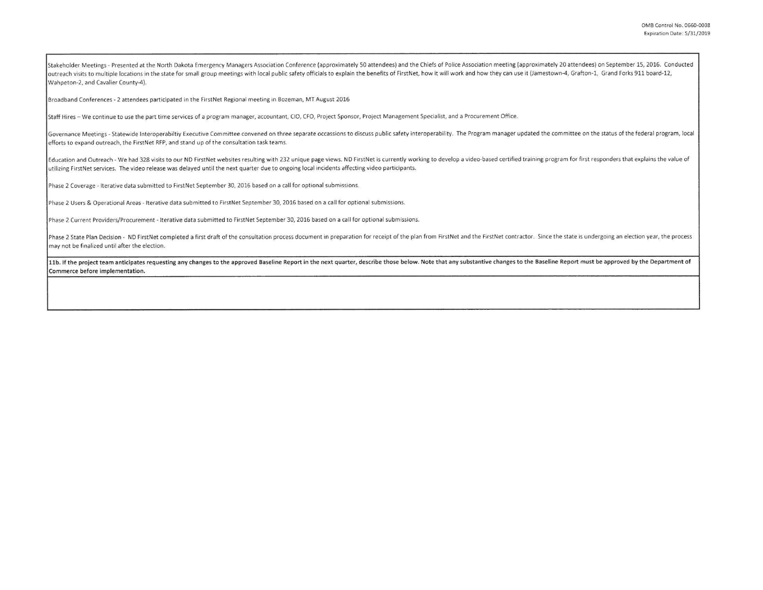Stakeholder Meetings - Presented at the North Dakota Emergency Managers Association Conference (approximately 50 attendees) and the Chiefs of Police Association meeting (approximately 20 attendees) on September 15, 2016. C outreach visits to multiple locations in the state for small group meetings with local public safety officials to explain the benefits of FirstNet, how it will work and how they can use it (Jamestown-4, Grafton-1, Grand Fo Wahpeton-2, and Cavalier County-4).

Broadband Conferences - 2 attendees participated in the First Net Regional meeting in Bozeman, MT August 2016

Staff Hires - We continue to use the part time services of a program manager, accountant, CIO, CFO, Project Sponsor, Project Management Specialist, and a Procurement Office.

Governance Meetings - Statewide Interoperabiltiy Executive Committee convened on three separate occassions to discuss public safety interoperability. The Program manager updated the committee on the status of the federal p efforts to expand outreach, the FirstNet RFP, and stand up of the consultation task teams.

Education and Outreach - We had 328 visits to our ND FirstNet websites resulting with 232 unique page views. ND FirstNet is currently working to develop a video-based certified training program for first responders that ex utilizing FirstNet services. The video release was delayed until the next quarter due to ongoing local incidents affecting video participants.

Phase 2 Coverage - Iterative data submitted to FirstNet September 30, 2016 based on a call for optional submissions.

Phase 2 Users & Operational Areas - Iterative data submitted to FirstNet September 30, 2016 based on a call for optional submissions.

Phase 2 Current Providers/Procurement - Iterative data submitted to FirstNet September 30, 2016 based on a call for optional submissions.

Phase 2 State Plan Decision - ND FirstNet completed a first draft of the consultation process document in preparation for receipt of the plan from FirstNet and the FirstNet contractor. Since the state is undergoing an elec may not be finalized until after the election.

11b. If the project team anticipates requesting any changes to the approved Baseline Report in the next quarter, describe those below. Note that any substantive changes to the Baseline Report must be approved by the Depart Commerce before implementation.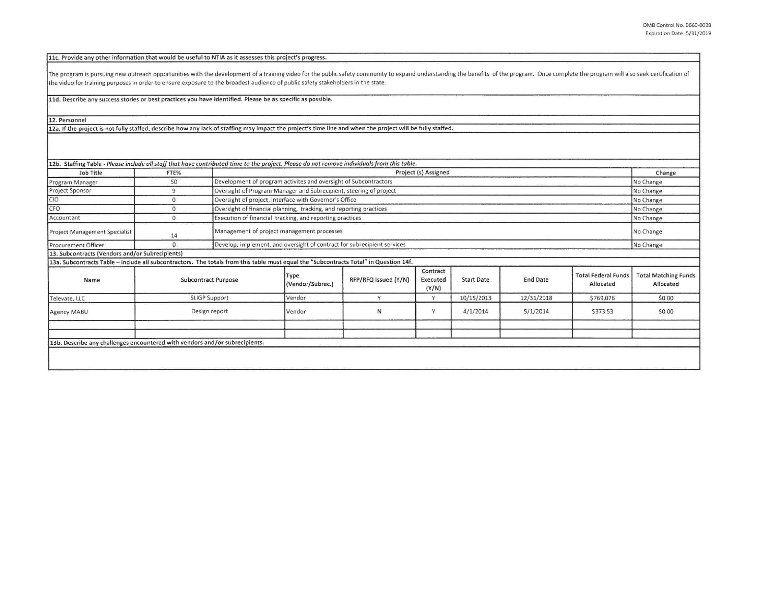11c. Provide any other information that would be useful to NTIA as it assesses this project's progress.

The program is pursuing new outreach opportunities with the development of a training video for the public safety community to expand understanding the benefits of the program. Once complete the program will also seek cert the video for training purposes in order to ensure exposure to the broadest audience of public safety stakeholders in the state.

11d. Describe any success stories or best practices you have identified. Please be as specific as possible.

12. Personnel

12a. If the project is not fully staffed, describe how any lack of staffing may impact the project's time line and when the project will be fully staffed.

| Job Title<br>Program Manager                                                                                                          | FTE%                       |                                                                    |                                                                         |                      |                               |                   |                 |                                         |                                          |
|---------------------------------------------------------------------------------------------------------------------------------------|----------------------------|--------------------------------------------------------------------|-------------------------------------------------------------------------|----------------------|-------------------------------|-------------------|-----------------|-----------------------------------------|------------------------------------------|
|                                                                                                                                       |                            |                                                                    | Project (s) Assigned                                                    |                      |                               |                   |                 |                                         | Change                                   |
|                                                                                                                                       | 50                         |                                                                    | Development of program activites and oversight of Subcontractors        |                      |                               |                   |                 |                                         | No Change                                |
| Project Sponsor                                                                                                                       | 9                          |                                                                    | Oversight of Program Manager and Subrecipient, steering of project      |                      |                               |                   |                 |                                         | No Change                                |
| CIO                                                                                                                                   | 0                          | Oversight of project, interface with Governor's Office             |                                                                         |                      |                               |                   |                 |                                         | No Change                                |
| CFO                                                                                                                                   | 0                          | Oversight of financial planning, tracking, and reporting practices |                                                                         |                      |                               |                   |                 |                                         | No Change                                |
| Accountant                                                                                                                            | $\mathbf{0}$               |                                                                    | Execution of financial tracking, and reporting practices                |                      |                               |                   |                 |                                         | No Change                                |
| Project Management Specialist                                                                                                         | 14                         |                                                                    | Management of project management processes                              |                      |                               |                   |                 |                                         | No Change                                |
| Procurement Officer                                                                                                                   | $\mathbf{0}$               |                                                                    | Develop, implement, and oversight of contract for subrecipient services |                      |                               |                   |                 |                                         | No Change                                |
| 13. Subcontracts (Vendors and/or Subrecipients)                                                                                       |                            |                                                                    |                                                                         |                      |                               |                   |                 |                                         |                                          |
| 13a. Subcontracts Table - Include all subcontractors. The totals from this table must equal the "Subcontracts Total" in Question 14f. |                            |                                                                    |                                                                         |                      |                               |                   |                 |                                         |                                          |
| Name                                                                                                                                  | <b>Subcontract Purpose</b> |                                                                    | Type<br>(Vendor/Subrec.)                                                | RFP/RFQ Issued (Y/N) | Contract<br>Executed<br>(Y/N) | <b>Start Date</b> | <b>End Date</b> | <b>Total Federal Funds</b><br>Allocated | <b>Total Matching Funds</b><br>Allocated |
| Televate, LLC                                                                                                                         | SLIGP Support              |                                                                    | Vendor                                                                  | $\vee$               | Y                             | 10/15/2013        | 12/31/2018      | \$769,076                               | \$0.00                                   |
| Agency MABU                                                                                                                           | Design report              |                                                                    | Vendor                                                                  | И                    | Y                             | 4/1/2014          | 5/1/2014        | \$373.53                                | \$0.00                                   |
|                                                                                                                                       |                            |                                                                    |                                                                         |                      |                               |                   |                 |                                         |                                          |
|                                                                                                                                       |                            |                                                                    |                                                                         |                      |                               |                   |                 |                                         |                                          |
| 13b. Describe any challenges encountered with vendors and/or subrecipients.                                                           |                            |                                                                    |                                                                         |                      |                               |                   |                 |                                         |                                          |
|                                                                                                                                       |                            |                                                                    |                                                                         |                      |                               |                   |                 |                                         |                                          |
|                                                                                                                                       |                            |                                                                    |                                                                         |                      |                               |                   |                 |                                         |                                          |